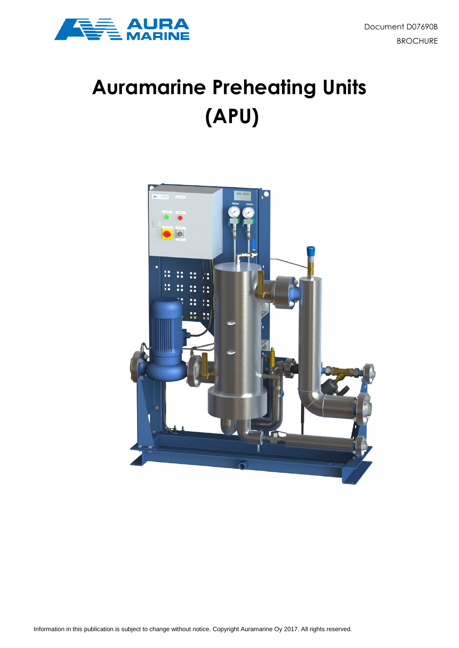



# **Auramarine Preheating Units (APU)**

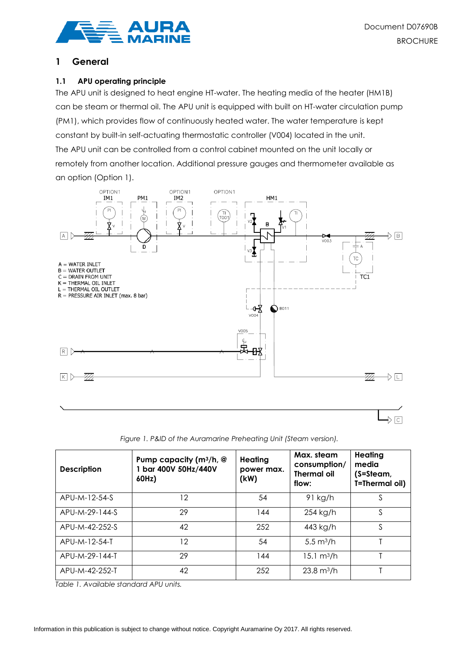

# **1 General**

### **1.1 APU operating principle**

The APU unit is designed to heat engine HT-water. The heating media of the heater (HM1B) can be steam or thermal oil. The APU unit is equipped with built on HT-water circulation pump (PM1), which provides flow of continuously heated water. The water temperature is kept constant by built-in self-actuating thermostatic controller (V004) located in the unit. The APU unit can be controlled from a control cabinet mounted on the unit locally or remotely from another location. Additional pressure gauges and thermometer available as an option (Option 1).



*Figure 1. P&ID of the Auramarine Preheating Unit (Steam version).*

| <b>Description</b> | Pump capacity (m <sup>3</sup> /h, @<br>1 bar 400V 50Hz/440V<br>60Hz) | Heating<br>power max.<br>(kW) | Max. steam<br>consumption/<br><b>Thermal oil</b><br>flow: | Heating<br>media<br>$(S=Steam,$<br>T=Thermal oil) |  |  |
|--------------------|----------------------------------------------------------------------|-------------------------------|-----------------------------------------------------------|---------------------------------------------------|--|--|
| APU-M-12-54-S      | 12                                                                   | 54                            | $91$ kg/h                                                 | S                                                 |  |  |
| APU-M-29-144-S     | 29                                                                   | 144                           | 254 kg/h                                                  | S                                                 |  |  |
| APU-M-42-252-S     | 42                                                                   | 252                           | 443 kg/h                                                  | S                                                 |  |  |
| APU-M-12-54-T      | 12                                                                   | 54                            | $5.5 \text{ m}^3/h$                                       |                                                   |  |  |
| APU-M-29-144-T     | 29                                                                   | 144                           | $15.1 \text{ m}^3/h$                                      |                                                   |  |  |
| APU-M-42-252-T     | 42                                                                   | 252                           | $23.8 \text{ m}^3/h$                                      |                                                   |  |  |

*Table 1. Available standard APU units.*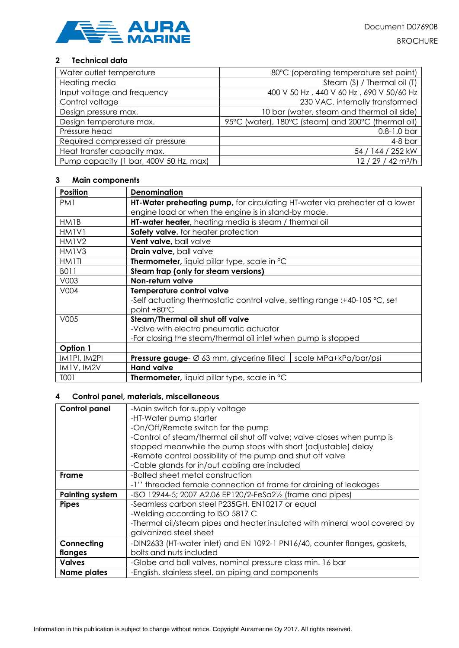

## **2 Technical data**

| Water outlet temperature               | 80°C (operating temperature set point)              |
|----------------------------------------|-----------------------------------------------------|
| Heating media                          | Steam (S) / Thermal oil (T)                         |
| Input voltage and frequency            | 400 V 50 Hz, 440 V 60 Hz, 690 V 50/60 Hz            |
| Control voltage                        | 230 VAC, internally transformed                     |
| Design pressure max.                   | 10 bar (water, steam and thermal oil side)          |
| Design temperature max.                | 95°C (water), 180°C (steam) and 200°C (thermal oil) |
| Pressure head                          | $0.8 - 1.0$ bar                                     |
| Required compressed air pressure       | $4-8$ bar                                           |
| Heat transfer capacity max.            | 54 / 144 / 252 kW                                   |
| Pump capacity (1 bar, 400V 50 Hz, max) | 12 / 29 / 42 m <sup>3</sup> /h                      |

#### **3 Main components**

| Position                       | Denomination                                                                                                           |  |  |  |  |  |  |
|--------------------------------|------------------------------------------------------------------------------------------------------------------------|--|--|--|--|--|--|
| PM <sub>1</sub>                | HT-Water preheating pump, for circulating HT-water via preheater at a lower                                            |  |  |  |  |  |  |
|                                | engine load or when the engine is in stand-by mode.                                                                    |  |  |  |  |  |  |
| HM1B                           | <b>HT-water heater</b> , heating media is steam / thermal oil                                                          |  |  |  |  |  |  |
| HM <sub>1</sub> V <sub>1</sub> | Safety valve, for heater protection                                                                                    |  |  |  |  |  |  |
| HM1V2                          | Vent valve, ball valve                                                                                                 |  |  |  |  |  |  |
| HM <sub>1</sub> V <sub>3</sub> | Drain valve, ball valve                                                                                                |  |  |  |  |  |  |
| <b>HM1TI</b>                   | Thermometer, liquid pillar type, scale in °C                                                                           |  |  |  |  |  |  |
| B011                           | Steam trap (only for steam versions)                                                                                   |  |  |  |  |  |  |
| V003                           | Non-return valve                                                                                                       |  |  |  |  |  |  |
| V004                           | Temperature control valve<br>-Self actuating thermostatic control valve, setting range :+40-105 °C, set<br>point +80°C |  |  |  |  |  |  |
| V005                           | Steam/Thermal oil shut off valve                                                                                       |  |  |  |  |  |  |
|                                | -Valve with electro pneumatic actuator                                                                                 |  |  |  |  |  |  |
|                                | -For closing the steam/thermal oil inlet when pump is stopped                                                          |  |  |  |  |  |  |
| Option 1                       |                                                                                                                        |  |  |  |  |  |  |
| IM1PI, IM2PI                   | <b>Pressure gauge-</b> $\varnothing$ 63 mm, glycerine filled<br>scale MPa+kPa/bar/psi                                  |  |  |  |  |  |  |
| IM1V, IM2V                     | <b>Hand valve</b>                                                                                                      |  |  |  |  |  |  |
| T001                           | <b>Thermometer, liquid pillar type, scale in °C</b>                                                                    |  |  |  |  |  |  |

#### **4 Control panel, materials, miscellaneous**

| <b>Control panel</b>   | -Main switch for supply voltage                                                      |  |  |  |  |  |  |  |  |
|------------------------|--------------------------------------------------------------------------------------|--|--|--|--|--|--|--|--|
|                        | -HT-Water pump starter                                                               |  |  |  |  |  |  |  |  |
|                        | -On/Off/Remote switch for the pump                                                   |  |  |  |  |  |  |  |  |
|                        | -Control of steam/thermal oil shut off valve; valve closes when pump is              |  |  |  |  |  |  |  |  |
|                        | stopped meanwhile the pump stops with short (adjustable) delay                       |  |  |  |  |  |  |  |  |
|                        | -Remote control possibility of the pump and shut off valve                           |  |  |  |  |  |  |  |  |
|                        | -Cable glands for in/out cabling are included                                        |  |  |  |  |  |  |  |  |
| Frame                  | -Bolted sheet metal construction                                                     |  |  |  |  |  |  |  |  |
|                        | -1" threaded female connection at frame for draining of leakages                     |  |  |  |  |  |  |  |  |
| <b>Painting system</b> | -ISO 12944-5; 2007 A2.06 EP120/2-FeSa2 <sup>1</sup> / <sub>2</sub> (frame and pipes) |  |  |  |  |  |  |  |  |
| <b>Pipes</b>           | -Seamless carbon steel P235GH, EN10217 or equal                                      |  |  |  |  |  |  |  |  |
|                        | -Welding according to ISO 5817 C                                                     |  |  |  |  |  |  |  |  |
|                        | -Thermal oil/steam pipes and heater insulated with mineral wool covered by           |  |  |  |  |  |  |  |  |
|                        | galvanized steel sheet                                                               |  |  |  |  |  |  |  |  |
| Connecting             | -DIN2633 (HT-water inlet) and EN 1092-1 PN16/40, counter flanges, gaskets,           |  |  |  |  |  |  |  |  |
| flanges                | bolts and nuts included                                                              |  |  |  |  |  |  |  |  |
| <b>Valves</b>          | -Globe and ball valves, nominal pressure class min. 16 bar                           |  |  |  |  |  |  |  |  |
| <b>Name plates</b>     | -English, stainless steel, on piping and components                                  |  |  |  |  |  |  |  |  |